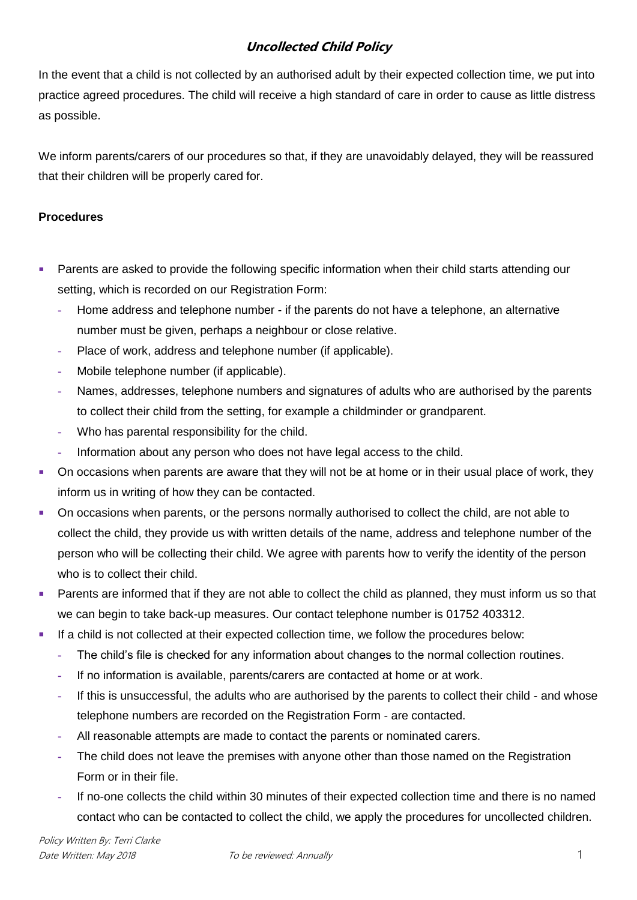## **Uncollected Child Policy**

In the event that a child is not collected by an authorised adult by their expected collection time, we put into practice agreed procedures. The child will receive a high standard of care in order to cause as little distress as possible.

We inform parents/carers of our procedures so that, if they are unavoidably delayed, they will be reassured that their children will be properly cared for.

## **Procedures**

- **Parents are asked to provide the following specific information when their child starts attending our** setting, which is recorded on our Registration Form:
	- **-** Home address and telephone number if the parents do not have a telephone, an alternative number must be given, perhaps a neighbour or close relative.
	- **-** Place of work, address and telephone number (if applicable).
	- **-** Mobile telephone number (if applicable).
	- **-** Names, addresses, telephone numbers and signatures of adults who are authorised by the parents to collect their child from the setting, for example a childminder or grandparent.
	- **-** Who has parental responsibility for the child.
	- **-** Information about any person who does not have legal access to the child.
- On occasions when parents are aware that they will not be at home or in their usual place of work, they inform us in writing of how they can be contacted.
- On occasions when parents, or the persons normally authorised to collect the child, are not able to collect the child, they provide us with written details of the name, address and telephone number of the person who will be collecting their child. We agree with parents how to verify the identity of the person who is to collect their child.
- **Parents are informed that if they are not able to collect the child as planned, they must inform us so that** we can begin to take back-up measures. Our contact telephone number is 01752 403312.
- **If a child is not collected at their expected collection time, we follow the procedures below:** 
	- **-** The child's file is checked for any information about changes to the normal collection routines.
	- **-** If no information is available, parents/carers are contacted at home or at work.
	- **-** If this is unsuccessful, the adults who are authorised by the parents to collect their child and whose telephone numbers are recorded on the Registration Form - are contacted.
	- **-** All reasonable attempts are made to contact the parents or nominated carers.
	- **-** The child does not leave the premises with anyone other than those named on the Registration Form or in their file.
	- **-** If no-one collects the child within 30 minutes of their expected collection time and there is no named contact who can be contacted to collect the child, we apply the procedures for uncollected children.